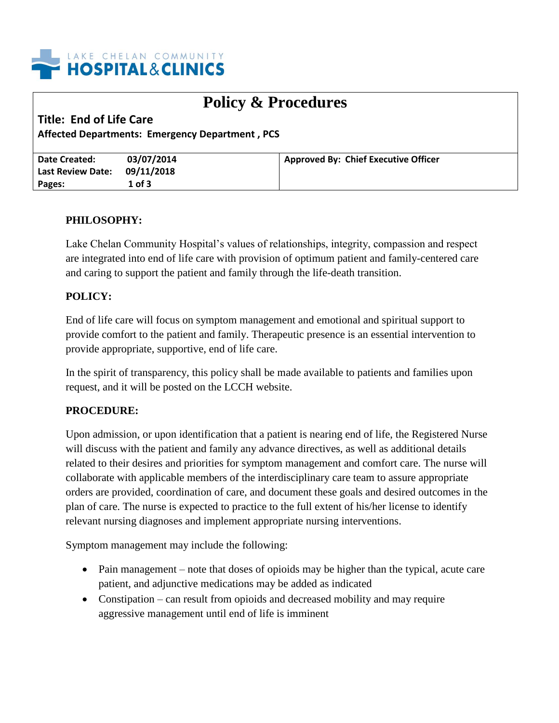

# **Policy & Procedures**

## **Title: End of Life Care**

**Affected Departments: Emergency Department , PCS**

| Date Created:                | 03/07/2014 | Approved By: Chief Executive Officer |
|------------------------------|------------|--------------------------------------|
| Last Review Date: 09/11/2018 |            |                                      |
| Pages:                       | r of 3     |                                      |

### **PHILOSOPHY:**

Lake Chelan Community Hospital's values of relationships, integrity, compassion and respect are integrated into end of life care with provision of optimum patient and family-centered care and caring to support the patient and family through the life-death transition.

### **POLICY:**

End of life care will focus on symptom management and emotional and spiritual support to provide comfort to the patient and family. Therapeutic presence is an essential intervention to provide appropriate, supportive, end of life care.

In the spirit of transparency, this policy shall be made available to patients and families upon request, and it will be posted on the LCCH website.

#### **PROCEDURE:**

Upon admission, or upon identification that a patient is nearing end of life, the Registered Nurse will discuss with the patient and family any advance directives, as well as additional details related to their desires and priorities for symptom management and comfort care. The nurse will collaborate with applicable members of the interdisciplinary care team to assure appropriate orders are provided, coordination of care, and document these goals and desired outcomes in the plan of care. The nurse is expected to practice to the full extent of his/her license to identify relevant nursing diagnoses and implement appropriate nursing interventions.

Symptom management may include the following:

- Pain management note that doses of opioids may be higher than the typical, acute care patient, and adjunctive medications may be added as indicated
- Constipation can result from opioids and decreased mobility and may require aggressive management until end of life is imminent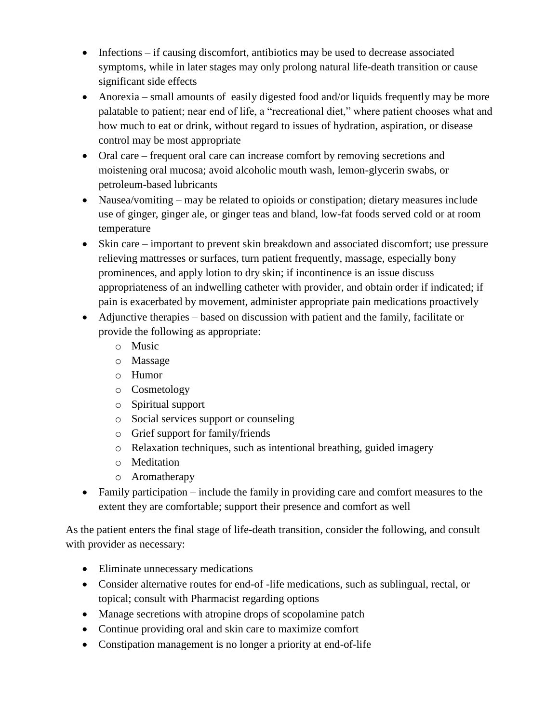- Infections if causing discomfort, antibiotics may be used to decrease associated symptoms, while in later stages may only prolong natural life-death transition or cause significant side effects
- Anorexia small amounts of easily digested food and/or liquids frequently may be more palatable to patient; near end of life, a "recreational diet," where patient chooses what and how much to eat or drink, without regard to issues of hydration, aspiration, or disease control may be most appropriate
- Oral care frequent oral care can increase comfort by removing secretions and moistening oral mucosa; avoid alcoholic mouth wash, lemon-glycerin swabs, or petroleum-based lubricants
- Nausea/vomiting may be related to opioids or constipation; dietary measures include use of ginger, ginger ale, or ginger teas and bland, low-fat foods served cold or at room temperature
- Skin care important to prevent skin breakdown and associated discomfort; use pressure relieving mattresses or surfaces, turn patient frequently, massage, especially bony prominences, and apply lotion to dry skin; if incontinence is an issue discuss appropriateness of an indwelling catheter with provider, and obtain order if indicated; if pain is exacerbated by movement, administer appropriate pain medications proactively
- Adjunctive therapies based on discussion with patient and the family, facilitate or provide the following as appropriate:
	- o Music
	- o Massage
	- o Humor
	- o Cosmetology
	- o Spiritual support
	- o Social services support or counseling
	- o Grief support for family/friends
	- o Relaxation techniques, such as intentional breathing, guided imagery
	- o Meditation
	- o Aromatherapy
- Family participation include the family in providing care and comfort measures to the extent they are comfortable; support their presence and comfort as well

As the patient enters the final stage of life-death transition, consider the following, and consult with provider as necessary:

- Eliminate unnecessary medications
- Consider alternative routes for end-of -life medications, such as sublingual, rectal, or topical; consult with Pharmacist regarding options
- Manage secretions with atropine drops of scopolamine patch
- Continue providing oral and skin care to maximize comfort
- Constipation management is no longer a priority at end-of-life